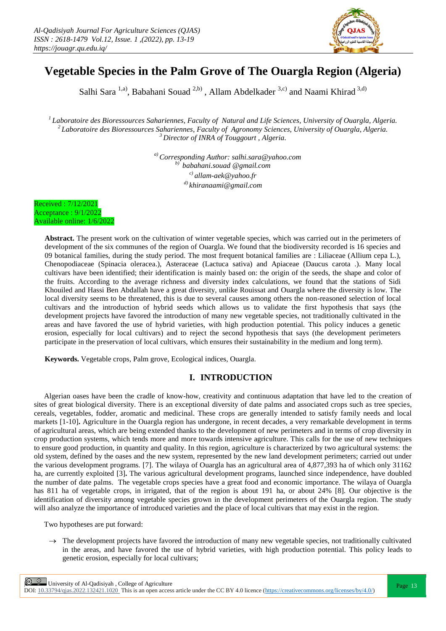

# **Vegetable Species in the Palm Grove of The Ouargla Region (Algeria)**

Salhi Sara<sup>1,a)</sup>, Babahani Souad<sup>2,b)</sup>, Allam Abdelkader<sup>3,c)</sup> and Naami Khirad<sup>3,d)</sup>

*<sup>1</sup>Laboratoire des Bioressources Sahariennes, Faculty of Natural and Life Sciences, University of Ouargla, Algeria. <sup>2</sup>Laboratoire des Bioressources Sahariennes, Faculty of Agronomy Sciences, University of Ouargla, Algeria. <sup>3</sup>Director of INRA of Touggourt , Algeria.*

> *a) Corresponding Author: [salhi.sara@yahoo.com](mailto:salhi.sara@yahoo.com) b) babahani.souad @gmail.com c) allam-aek@yahoo.fr d) khiranaami@gmail.com*

Received : 7/12/2021 Acceptance : 9/1/2022 Available online: 1/6/2022

> **Abstract.** The present work on the cultivation of winter vegetable species, which was carried out in the perimeters of development of the six communes of the region of Ouargla. We found that the biodiversity recorded is 16 species and 09 botanical families, during the study period. The most frequent botanical families are : Liliaceae (Allium cepa L.), Chenopodiaceae (Spinacia oleracea.), Asteraceae (Lactuca sativa) and Apiaceae (Daucus carota .). Many local cultivars have been identified; their identification is mainly based on: the origin of the seeds, the shape and color of the fruits. According to the average richness and diversity index calculations, we found that the stations of Sidi Khouiled and Hassi Ben Abdallah have a great diversity, unlike Rouissat and Ouargla where the diversity is low. The local diversity seems to be threatened, this is due to several causes among others the non-reasoned selection of local cultivars and the introduction of hybrid seeds which allows us to validate the first hypothesis that says (the development projects have favored the introduction of many new vegetable species, not traditionally cultivated in the areas and have favored the use of hybrid varieties, with high production potential. This policy induces a genetic erosion, especially for local cultivars) and to reject the second hypothesis that says (the development perimeters participate in the preservation of local cultivars, which ensures their sustainability in the medium and long term).

**Keywords.** Vegetable crops, Palm grove, Ecological indices, Ouargla.

# **I. INTRODUCTION**

Algerian oases have been the cradle of know-how, creativity and continuous adaptation that have led to the creation of sites of great biological diversity. There is an exceptional diversity of date palms and associated crops such as tree species, cereals, vegetables, fodder, aromatic and medicinal. These crops are generally intended to satisfy family needs and local markets [1-10]**.** Agriculture in the Ouargla region has undergone, in recent decades, a very remarkable development in terms of agricultural areas, which are being extended thanks to the development of new perimeters and in terms of crop diversity in crop production systems, which tends more and more towards intensive agriculture. This calls for the use of new techniques to ensure good production, in quantity and quality. In this region, agriculture is characterized by two agricultural systems: the old system, defined by the oases and the new system, represented by the new land development perimeters; carried out under the various development programs. [7]. The wilaya of Ouargla has an agricultural area of 4,877,393 ha of which only 31162 ha, are currently exploited [3]**.** The various agricultural development programs, launched since independence, have doubled the number of date palms. The vegetable crops species have a great food and economic importance. The wilaya of Ouargla has 811 ha of vegetable crops, in irrigated, that of the region is about 191 ha, or about 24% [8]. Our objective is the identification of diversity among vegetable species grown in the development perimeters of the Ouargla region. The study will also analyze the importance of introduced varieties and the place of local cultivars that may exist in the region.

Two hypotheses are put forward:

 $\rightarrow$  The development projects have favored the introduction of many new vegetable species, not traditionally cultivated in the areas, and have favored the use of hybrid varieties, with high production potential. This policy leads to genetic erosion, especially for local cultivars;

**Page 13** University of Al-Qadisiyah, College of Agriculture Page 13 DOI:  $10.33794/q$ jas.2022.132421.1020 This is an open access article under the CC BY 4.0 licence (https://creativecommons.org/licenses/by/4.0/)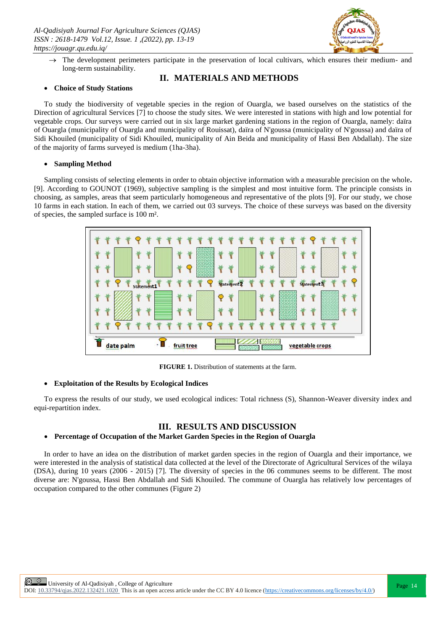

 $\rightarrow$  The development perimeters participate in the preservation of local cultivars, which ensures their medium- and long-term sustainability.

# **II. MATERIALS AND METHODS**

#### **Choice of Study Stations**

To study the biodiversity of vegetable species in the region of Ouargla, we based ourselves on the statistics of the Direction of agricultural Services [7] to choose the study sites. We were interested in stations with high and low potential for vegetable crops. Our surveys were carried out in six large market gardening stations in the region of Ouargla, namely: daïra of Ouargla (municipality of Ouargla and municipality of Rouissat), daïra of N'goussa (municipality of N'goussa) and daïra of Sidi Khouiled (municipality of Sidi Khouiled, municipality of Ain Beida and municipality of Hassi Ben Abdallah). The size of the majority of farms surveyed is medium (1ha-3ha).

# **Sampling Method**

Sampling consists of selecting elements in order to obtain objective information with a measurable precision on the whole**.** [9]. According to GOUNOT (1969), subjective sampling is the simplest and most intuitive form. The principle consists in choosing, as samples, areas that seem particularly homogeneous and representative of the plots [9]. For our study, we chose 10 farms in each station. In each of them, we carried out 03 surveys. The choice of these surveys was based on the diversity of species, the sampled surface is 100 m².



**FIGURE 1.** Distribution of statements at the farm.

# **Exploitation of the Results by Ecological Indices**

To express the results of our study, we used ecological indices: Total richness (S), Shannon-Weaver diversity index and equi-repartition index.

# **III. RESULTS AND DISCUSSION**

#### **Percentage of Occupation of the Market Garden Species in the Region of Ouargla**

In order to have an idea on the distribution of market garden species in the region of Ouargla and their importance, we were interested in the analysis of statistical data collected at the level of the Directorate of Agricultural Services of the wilaya (DSA), during 10 years (2006 - 2015) [7]. The diversity of species in the 06 communes seems to be different. The most diverse are: N'goussa, Hassi Ben Abdallah and Sidi Khouiled. The commune of Ouargla has relatively low percentages of occupation compared to the other communes (Figure 2)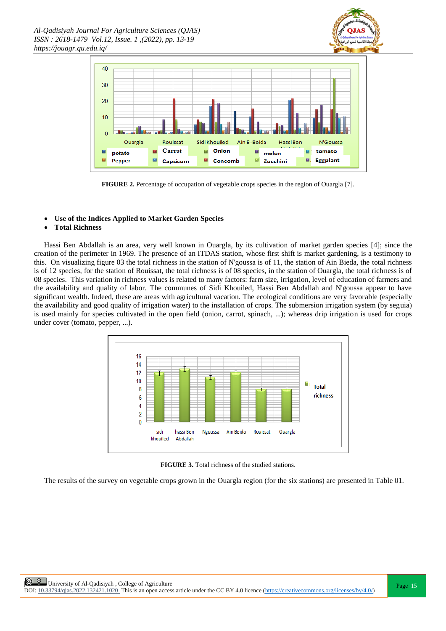



**FIGURE 2.** Percentage of occupation of vegetable crops species in the region of Ouargla [7].

# **Use of the Indices Applied to Market Garden Species**

# **Total Richness**

Hassi Ben Abdallah is an area, very well known in Ouargla, by its cultivation of market garden species [4]; since the creation of the perimeter in 1969. The presence of an ITDAS station, whose first shift is market gardening, is a testimony to this. On visualizing figure 03 the total richness in the station of N'goussa is of 11, the station of Ain Bieda, the total richness is of 12 species, for the station of Rouissat, the total richness is of 08 species, in the station of Ouargla, the total richness is of 08 species. This variation in richness values is related to many factors: farm size, irrigation, level of education of farmers and the availability and quality of labor. The communes of Sidi Khouiled, Hassi Ben Abdallah and N'goussa appear to have significant wealth. Indeed, these are areas with agricultural vacation. The ecological conditions are very favorable (especially the availability and good quality of irrigation water) to the installation of crops. The submersion irrigation system (by seguia) is used mainly for species cultivated in the open field (onion, carrot, spinach, ...); whereas drip irrigation is used for crops under cover (tomato, pepper, ...).



**FIGURE 3.** Total richness of the studied stations.

The results of the survey on vegetable crops grown in the Ouargla region (for the six stations) are presented in Table 01.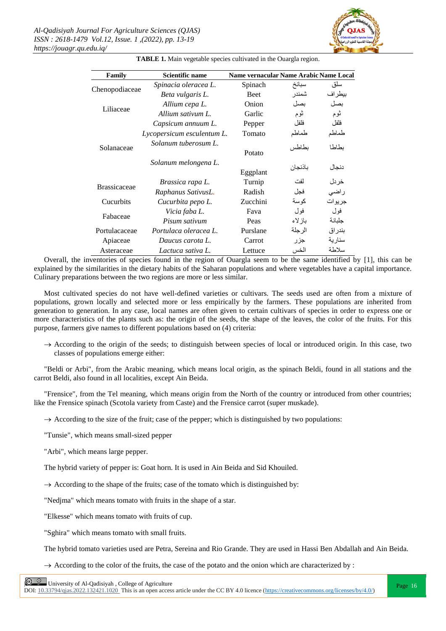

| Family              | <b>Scientific name</b>     | Name vernacular Name Arabic Name Local |         |          |
|---------------------|----------------------------|----------------------------------------|---------|----------|
| Chenopodiaceae      | Spinacia oleracea L.       | Spinach                                | سبانخ   | سلق      |
|                     | Beta vulgaris L.           | <b>Beet</b>                            | شمندر   | بيطراف   |
| Liliaceae           | Allium cepa L.             | Onion                                  | ىصل     | بصل      |
|                     | Allium sativum L.          | Garlic                                 | ثوم     | ثوم      |
| Solanaceae          | Capsicum annuum L.         | Pepper                                 | فلفل    | فلفل     |
|                     | Lycopersicum esculentum L. | Tomato                                 | طماطم   | طماطم    |
|                     | Solanum tuberosum L.       | Potato                                 | ىطاطس   | ىطاطا    |
|                     | Solanum melongena L.       | Eggplant                               | باذنجان | دنجال    |
| <b>Brassicaceae</b> | Brassica rapa L.           | Turnip                                 | لفث     | خردل     |
|                     | Raphanus SativusL.         | Radish                                 | فجل     | راضى     |
| Cucurbits           | Cucurbita pepo L.          | Zucchini                               | كو سة   | جر يو ات |
| Fabaceae            | Vicia faba L.              | Fava                                   | فول     | فول      |
|                     | Pisum sativum              | Peas                                   | بازلاء  | جلبانة   |
| Portulacaceae       | Portulaca oleracea L.      | Purslane                               | الر جلة | بندر اق  |
| Apiaceae            | Daucus carota L.           | Carrot                                 | جزر     | سنار بة  |
| Asteraceae          | Lactuca sativa L.          | Lettuce                                | الخس    | سلاطة    |
|                     |                            |                                        |         |          |

**TABLE 1.** Main vegetable species cultivated in the Ouargla region.

Overall, the inventories of species found in the region of Ouargla seem to be the same identified by [1], this can be explained by the similarities in the dietary habits of the Saharan populations and where vegetables have a capital importance. Culinary preparations between the two regions are more or less similar.

Most cultivated species do not have well-defined varieties or cultivars. The seeds used are often from a mixture of populations, grown locally and selected more or less empirically by the farmers. These populations are inherited from generation to generation. In any case, local names are often given to certain cultivars of species in order to express one or more characteristics of the plants such as: the origin of the seeds, the shape of the leaves, the color of the fruits. For this purpose, farmers give names to different populations based on (4) criteria:

 $\rightarrow$  According to the origin of the seeds; to distinguish between species of local or introduced origin. In this case, two classes of populations emerge either:

"Beldi or Arbi", from the Arabic meaning, which means local origin, as the spinach Beldi, found in all stations and the carrot Beldi, also found in all localities, except Ain Beida.

"Frensice", from the Tel meaning, which means origin from the North of the country or introduced from other countries; like the Frensice spinach (Scotola variety from Caste) and the Frensice carrot (super muskade).

 $\rightarrow$  According to the size of the fruit; case of the pepper; which is distinguished by two populations:

"Tunsie", which means small-sized pepper

"Arbi", which means large pepper.

The hybrid variety of pepper is: Goat horn. It is used in Ain Beida and Sid Khouiled.

 $\rightarrow$  According to the shape of the fruits; case of the tomato which is distinguished by:

"Nedjma" which means tomato with fruits in the shape of a star.

"Elkesse" which means tomato with fruits of cup.

"Sghira" which means tomato with small fruits.

The hybrid tomato varieties used are Petra, Sereina and Rio Grande. They are used in Hassi Ben Abdallah and Ain Beida.

 $\rightarrow$  According to the color of the fruits, the case of the potato and the onion which are characterized by :

DOI:  $10.33794$ /qjas.2022.132421.1020 This is an open access article under the CC BY 4.0 licence (https://creativecommons.org/licenses/by/4.0/)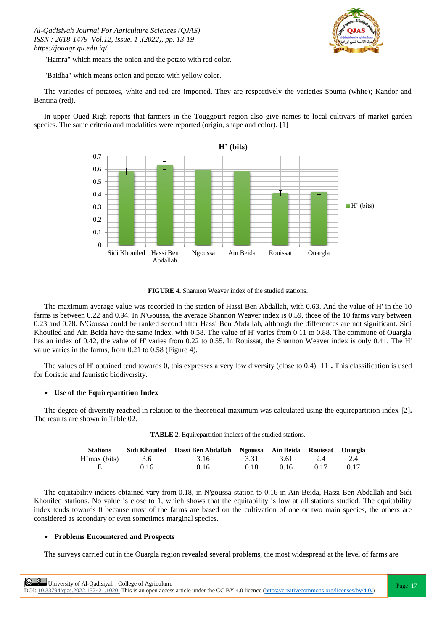

"Hamra" which means the onion and the potato with red color.

"Baidha" which means onion and potato with yellow color.

The varieties of potatoes, white and red are imported. They are respectively the varieties Spunta (white); Kandor and Bentina (red).

In upper Oued Righ reports that farmers in the Touggourt region also give names to local cultivars of market garden species. The same criteria and modalities were reported (origin, shape and color). [1]



**FIGURE 4.** Shannon Weaver index of the studied stations.

The maximum average value was recorded in the station of Hassi Ben Abdallah, with 0.63. And the value of H' in the 10 farms is between 0.22 and 0.94. In N'Goussa, the average Shannon Weaver index is 0.59, those of the 10 farms vary between 0.23 and 0.78. N'Goussa could be ranked second after Hassi Ben Abdallah, although the differences are not significant. Sidi Khouiled and Ain Beida have the same index, with 0.58. The value of H' varies from 0.11 to 0.88. The commune of Ouargla has an index of 0.42, the value of H' varies from 0.22 to 0.55. In Rouissat, the Shannon Weaver index is only 0.41. The H' value varies in the farms, from 0.21 to 0.58 (Figure 4).

The values of H' obtained tend towards 0, this expresses a very low diversity (close to 0.4) [11]**.** This classification is used for floristic and faunistic biodiversity.

# **Use of the Equirepartition Index**

The degree of diversity reached in relation to the theoretical maximum was calculated using the equirepartition index [2]**.** The results are shown in Table 02.

| <b>Stations</b> | Sidi Khouiled | Hassi Ben Abdallah Ngoussa Ain Beida Rouissat Ouargla |      |      |      |      |
|-----------------|---------------|-------------------------------------------------------|------|------|------|------|
|                 |               |                                                       |      |      |      |      |
| H'max (bits)    | 3.6           | 3.16                                                  | 3.31 | 3.61 | 2.4  |      |
|                 | 0.16          | 0.16                                                  | 0.18 | 0.16 | 0.17 | 0.17 |

**TABLE 2.** Equirepartition indices of the studied stations.

The equitability indices obtained vary from 0.18, in N'goussa station to 0.16 in Ain Beida, Hassi Ben Abdallah and Sidi Khouiled stations. No value is close to 1, which shows that the equitability is low at all stations studied. The equitability index tends towards 0 because most of the farms are based on the cultivation of one or two main species, the others are considered as secondary or even sometimes marginal species.

# **Problems Encountered and Prospects**

The surveys carried out in the Ouargla region revealed several problems, the most widespread at the level of farms are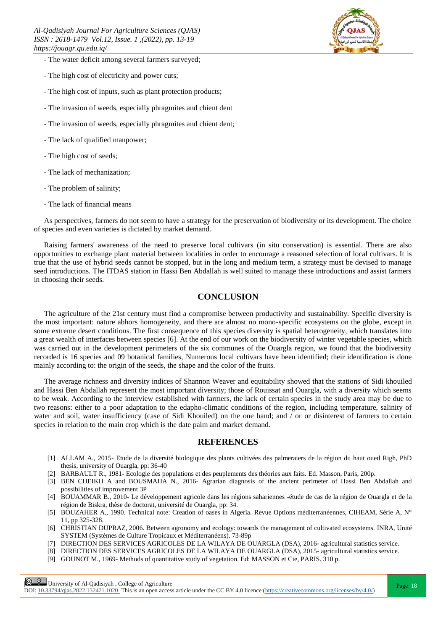

- The water deficit among several farmers surveyed;
- The high cost of electricity and power cuts;
- The high cost of inputs, such as plant protection products;
- The invasion of weeds, especially phragmites and chient dent
- The invasion of weeds, especially phragmites and chient dent;
- The lack of qualified manpower;
- The high cost of seeds;
- The lack of mechanization;
- The problem of salinity;
- The lack of financial means

As perspectives, farmers do not seem to have a strategy for the preservation of biodiversity or its development. The choice of species and even varieties is dictated by market demand.

Raising farmers' awareness of the need to preserve local cultivars (in situ conservation) is essential. There are also opportunities to exchange plant material between localities in order to encourage a reasoned selection of local cultivars. It is true that the use of hybrid seeds cannot be stopped, but in the long and medium term, a strategy must be devised to manage seed introductions. The ITDAS station in Hassi Ben Abdallah is well suited to manage these introductions and assist farmers in choosing their seeds.

#### **CONCLUSION**

The agriculture of the 21st century must find a compromise between productivity and sustainability. Specific diversity is the most important: nature abhors homogeneity, and there are almost no mono-specific ecosystems on the globe, except in some extreme desert conditions. The first consequence of this species diversity is spatial heterogeneity, which translates into a great wealth of interfaces between species [6]. At the end of our work on the biodiversity of winter vegetable species, which was carried out in the development perimeters of the six communes of the Ouargla region, we found that the biodiversity recorded is 16 species and 09 botanical families, Numerous local cultivars have been identified; their identification is done mainly according to: the origin of the seeds, the shape and the color of the fruits.

The average richness and diversity indices of Shannon Weaver and equitability showed that the stations of Sidi khouiled and Hassi Ben Abdallah represent the most important diversity; those of Rouissat and Ouargla, with a diversity which seems to be weak. According to the interview established with farmers, the lack of certain species in the study area may be due to two reasons: either to a poor adaptation to the edapho-climatic conditions of the region, including temperature, salinity of water and soil, water insufficiency (case of Sidi Khouiled) on the one hand; and / or or disinterest of farmers to certain species in relation to the main crop which is the date palm and market demand.

# **REFERENCES**

- [1] ALLAM A., 2015- Etude de la diversité biologique des plants cultivées des palmeraiers de la région du haut oued Righ, PhD thesis, university of Ouargla, pp: 36-40
- [2] BARBAULT R., 1981- Ecologie des populations et des peuplements des théories aux faits. Ed. Masson, Paris, 200p.
- [3] BEN CHEIKH A and BOUSMAHA N., 2016- Agrarian diagnosis of the ancient perimeter of Hassi Ben Abdallah and possibilities of improvement 3P
- [4] BOUAMMAR B., 2010- Le développement agricole dans les régions sahariennes -étude de cas de la région de Ouargla et de la région de Biskra, thèse de doctorat, université de Ouargla, pp: 34.
- [5] BOUZAHER A., 1990. Technical note: Creation of oases in Algeria. Revue Options méditerranéennes, CIHEAM, Série A, N° 11, pp 325-328.
- [6] CHRISTIAN DUPRAZ, 2006. Between agronomy and ecology: towards the management of cultivated ecosystems. INRA, Unité SYSTEM (Systèmes de Culture Tropicaux et Méditerranéens). 73-89p
- [7] DIRECTION DES SERVICES AGRICOLES DE LA WILAYA DE OUARGLA (DSA), 2016- agricultural statistics service.
- [8] DIRECTION DES SERVICES AGRICOLES DE LA WILAYA DE OUARGLA (DSA), 2015- agricultural statistics service.
- [9] GOUNOT M., 1969- Methods of quantitative study of vegetation. Ed: MASSON et Cie, PARIS. 310 p.

 $\boxed{\odot}$   $\odot$  University of Al-Qadisiyah, College of Agriculture<br>  $\boxed{\qquad}$  Page 18

DOI:  $10.33794$ /qjas.2022.132421.1020 This is an open access article under the CC BY 4.0 licence (https://creativecommons.org/licenses/by/4.0/)